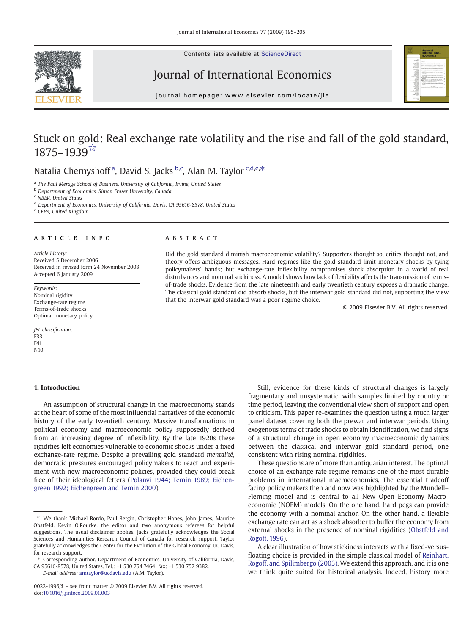Contents lists available at ScienceDirect



## Journal of International Economics



journal homepage: www.elsevier.com/locate/jie

# Stuck on gold: Real exchange rate volatility and the rise and fall of the gold standard, 1875–1939☆

### Natalia Chernyshoff<sup>a</sup>, David S. Jacks <sup>b,c</sup>, Alan M. Taylor <sup>c,d,e,\*</sup>

<sup>a</sup> The Paul Merage School of Business, University of California, Irvine, United States

**b** Department of Economics, Simon Fraser University, Canada

 $c$  NBFR, United States

<sup>d</sup> Department of Economics, University of California, Davis, CA 95616-8578, United States

<sup>e</sup> CEPR, United Kingdom

#### article info abstract

Article history: Received 5 December 2006 Received in revised form 24 November 2008 Accepted 6 January 2009

Keywords: Nominal rigidity Exchange-rate regime Terms-of-trade shocks Optimal monetary policy

JEL classification: F33 F41 N10

#### 1. Introduction

### An assumption of structural change in the macroeconomy stands at the heart of some of the most influential narratives of the economic history of the early twentieth century. Massive transformations in political economy and macroeconomic policy supposedly derived from an increasing degree of inflexibility. By the late 1920s these rigidities left economies vulnerable to economic shocks under a fixed exchange-rate regime. Despite a prevailing gold standard mentalité, democratic pressures encouraged policymakers to react and experiment with new macroeconomic policies, provided they could break free of their ideological fetters ([Polanyi 1944; Temin 1989; Eichen](#page--1-0)[green 1992; Eichengreen and Temin 2000](#page--1-0)).

E-mail address: [amtaylor@ucdavis.edu](mailto:amtaylor@ucdavis.edu) (A.M. Taylor).

Did the gold standard diminish macroeconomic volatility? Supporters thought so, critics thought not, and theory offers ambiguous messages. Hard regimes like the gold standard limit monetary shocks by tying policymakers' hands; but exchange-rate inflexibility compromises shock absorption in a world of real disturbances and nominal stickiness. A model shows how lack of flexibility affects the transmission of termsof-trade shocks. Evidence from the late nineteenth and early twentieth century exposes a dramatic change. The classical gold standard did absorb shocks, but the interwar gold standard did not, supporting the view that the interwar gold standard was a poor regime choice.

© 2009 Elsevier B.V. All rights reserved.

Still, evidence for these kinds of structural changes is largely fragmentary and unsystematic, with samples limited by country or time period, leaving the conventional view short of support and open to criticism. This paper re-examines the question using a much larger panel dataset covering both the prewar and interwar periods. Using exogenous terms of trade shocks to obtain identification, we find signs of a structural change in open economy macroeconomic dynamics between the classical and interwar gold standard period, one consistent with rising nominal rigidities.

These questions are of more than antiquarian interest. The optimal choice of an exchange rate regime remains one of the most durable problems in international macroeconomics. The essential tradeoff facing policy makers then and now was highlighted by the Mundell– Fleming model and is central to all New Open Economy Macroeconomic (NOEM) models. On the one hand, hard pegs can provide the economy with a nominal anchor. On the other hand, a flexible exchange rate can act as a shock absorber to buffer the economy from external shocks in the presence of nominal rigidities [\(Obstfeld and](#page--1-0) [Rogoff, 1996\)](#page--1-0).

A clear illustration of how stickiness interacts with a fixed-versusfloating choice is provided in the simple classical model of [Reinhart,](#page--1-0) [Rogoff, and Spilimbergo \(2003\)](#page--1-0). We extend this approach, and it is one we think quite suited for historical analysis. Indeed, history more

 $\overrightarrow{x}$  We thank Michael Bordo, Paul Bergin, Christopher Hanes, John James, Maurice Obstfeld, Kevin O'Rourke, the editor and two anonymous referees for helpful suggestions. The usual disclaimer applies. Jacks gratefully acknowledges the Social Sciences and Humanities Research Council of Canada for research support. Taylor gratefully acknowledges the Center for the Evolution of the Global Economy, UC Davis, for research support.

<sup>⁎</sup> Corresponding author. Department of Economics, University of California, Davis, CA 95616-8578, United States. Tel.: +1 530 754 7464; fax: +1 530 752 9382.

<sup>0022-1996/\$</sup> – see front matter © 2009 Elsevier B.V. All rights reserved. doi:[10.1016/j.jinteco.2009.01.003](http://dx.doi.org/10.1016/j.jinteco.2009.01.003)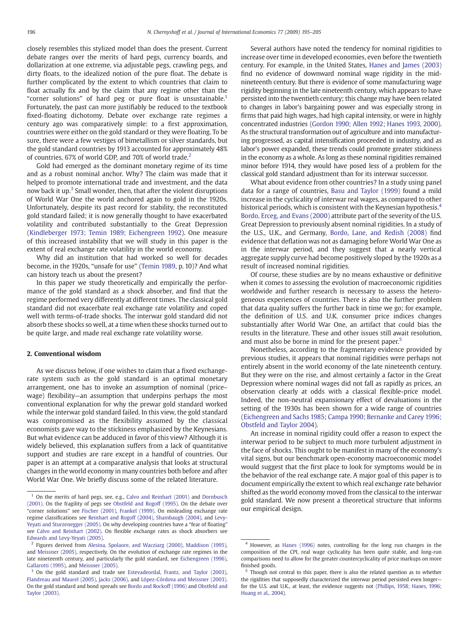closely resembles this stylized model than does the present. Current debate ranges over the merits of hard pegs, currency boards, and dollarization at one extreme, via adjustable pegs, crawling pegs, and dirty floats, to the idealized notion of the pure float. The debate is further complicated by the extent to which countries that claim to float actually fix and by the claim that any regime other than the "corner solutions" of hard peg or pure float is unsustainable.<sup>1</sup> Fortunately, the past can more justifiably be reduced to the textbook fixed-floating dichotomy. Debate over exchange rate regimes a century ago was comparatively simple: to a first approximation, countries were either on the gold standard or they were floating. To be sure, there were a few vestiges of bimetallism or silver standards, but the gold standard countries by 1913 accounted for approximately 48% of countries, 67% of world GDP, and 70% of world trade.<sup>2</sup>

Gold had emerged as the dominant monetary regime of its time and as a robust nominal anchor. Why? The claim was made that it helped to promote international trade and investment, and the data now back it up.<sup>3</sup> Small wonder, then, that after the violent disruptions of World War One the world anchored again to gold in the 1920s. Unfortunately, despite its past record for stability, the reconstituted gold standard failed; it is now generally thought to have exacerbated volatility and contributed substantially to the Great Depression ([Kindleberger 1973; Temin 1989; Eichengreen 1992](#page--1-0)). One measure of this increased instability that we will study in this paper is the extent of real exchange rate volatility in the world economy.

Why did an institution that had worked so well for decades become, in the 1920s, "unsafe for use" [\(Temin 1989](#page--1-0), p. 10)? And what can history teach us about the present?

In this paper we study theoretically and empirically the performance of the gold standard as a shock absorber, and find that the regime performed very differently at different times. The classical gold standard did not exacerbate real exchange rate volatility and coped well with terms-of-trade shocks. The interwar gold standard did not absorb these shocks so well, at a time when these shocks turned out to be quite large, and made real exchange rate volatility worse.

#### 2. Conventional wisdom

As we discuss below, if one wishes to claim that a fixed exchangerate system such as the gold standard is an optimal monetary arrangement, one has to invoke an assumption of nominal (price– wage) flexibility—an assumption that underpins perhaps the most conventional explanation for why the prewar gold standard worked while the interwar gold standard failed. In this view, the gold standard was compromised as the flexibility assumed by the classical economists gave way to the stickiness emphasized by the Keynesians. But what evidence can be adduced in favor of this view? Although it is widely believed, this explanation suffers from a lack of quantitative support and studies are rare except in a handful of countries. Our paper is an attempt at a comparative analysis that looks at structural changes in the world economy in many countries both before and after World War One. We briefly discuss some of the related literature.

Several authors have noted the tendency for nominal rigidities to increase over time in developed economies, even before the twentieth century. For example, in the United States, [Hanes and James \(2003\)](#page--1-0) find no evidence of downward nominal wage rigidity in the midnineteenth century. But there is evidence of some manufacturing wage rigidity beginning in the late nineteenth century, which appears to have persisted into the twentieth century; this change may have been related to changes in labor's bargaining power and was especially strong in firms that paid high wages, had high capital intensity, or were in highly concentrated industries ([Gordon 1990; Allen 1992; Hanes 1993, 2000](#page--1-0)). As the structural transformation out of agriculture and into manufacturing progressed, as capital intensification proceeded in industry, and as labor's power expanded, these trends could promote greater stickiness in the economy as a whole. As long as these nominal rigidities remained minor before 1914, they would have posed less of a problem for the classical gold standard adjustment than for its interwar successor.

What about evidence from other countries? In a study using panel data for a range of countries, [Basu and Taylor \(1999\)](#page--1-0) found a mild increase in the cyclicality of interwar real wages, as compared to other historical periods, which is consistent with the Keynesian hypothesis.<sup>4</sup> [Bordo, Erceg, and Evans \(2000\)](#page--1-0) attribute part of the severity of the U.S. Great Depression to previously absent nominal rigidities. In a study of the U.S., U.K., and Germany, [Bordo, Lane, and Redish \(2008\)](#page--1-0) find evidence that deflation was not as damaging before World War One as in the interwar period, and they suggest that a nearly vertical aggregate supply curve had become positively sloped by the 1920s as a result of increased nominal rigidities.

Of course, these studies are by no means exhaustive or definitive when it comes to assessing the evolution of macroeconomic rigidities worldwide and further research is necessary to assess the heterogeneous experiences of countries. There is also the further problem that data quality suffers the further back in time we go; for example, the definition of U.S. and U.K. consumer price indices changes substantially after World War One, an artifact that could bias the results in the literature. These and other issues still await resolution, and must also be borne in mind for the present paper.<sup>5</sup>

Nonetheless, according to the fragmentary evidence provided by previous studies, it appears that nominal rigidities were perhaps not entirely absent in the world economy of the late nineteenth century. But they were on the rise, and almost certainly a factor in the Great Depression where nominal wages did not fall as rapidly as prices, an observation clearly at odds with a classical flexible-price model. Indeed, the non-neutral expansionary effect of devaluations in the setting of the 1930s has been shown for a wide range of countries ([Eichengreen and Sachs 1985](#page--1-0); [Campa 1990; Bernanke and Carey 1996;](#page--1-0) [Obstfeld and Taylor 2004\)](#page--1-0).

An increase in nominal rigidity could offer a reason to expect the interwar period to be subject to much more turbulent adjustment in the face of shocks. This ought to be manifest in many of the economy's vital signs, but our benchmark open-economy macroeconomic model would suggest that the first place to look for symptoms would be in the behavior of the real exchange rate. A major goal of this paper is to document empirically the extent to which real exchange rate behavior shifted as the world economy moved from the classical to the interwar gold standard. We now present a theoretical structure that informs our empirical design.

<sup>&</sup>lt;sup>1</sup> On the merits of hard pegs, see, e.g., [Calvo and Reinhart \(2001\)](#page--1-0) and [Dornbusch](#page--1-0) [\(2001\)](#page--1-0). On the fragility of pegs see [Obstfeld and Rogoff \(1995\).](#page--1-0) On the debate over "corner solutions" see [Fischer \(2001\)](#page--1-0), [Frankel \(1999\)](#page--1-0). On misleading exchange rate regime classifications see [Reinhart and Rogoff \(2004\),](#page--1-0) [Shambaugh \(2004\),](#page--1-0) and [Levy-](#page--1-0)[Yeyati and Sturzenegger \(2005\).](#page--1-0) On why developing countries have a "fear of floating" see [Calvo and Reinhart \(2002\).](#page--1-0) On flexible exchange rates as shock absorbers see [Edwards and Levy-Yeyati \(2005\).](#page--1-0)

<sup>2</sup> Figures derived from [Alesina, Spolaore, and Wacziarg \(2000\)](#page--1-0), [Maddison \(1995\)](#page--1-0), and [Meissner \(2005\),](#page--1-0) respectively. On the evolution of exchange rate regimes in the late nineteenth century, and particularly the gold standard, see [Eichengreen \(1996\)](#page--1-0), [Gallarotti \(1995\)](#page--1-0), and [Meissner \(2005\)](#page--1-0).

<sup>&</sup>lt;sup>3</sup> On the gold standard and trade see [Estevadeordal, Frantz, and Taylor \(2003\)](#page--1-0), [Flandreau and Maurel \(2005\)](#page--1-0), [Jacks \(2006\)](#page--1-0), and [López-Córdova and Meissner \(2003\)](#page--1-0). On the gold standard and bond spreads see [Bordo and Rockoff \(1996\)](#page--1-0) and [Obstfeld and](#page--1-0) [Taylor \(2003\)](#page--1-0).

<sup>4</sup> However, as [Hanes \(1996\)](#page--1-0) notes, controlling for the long run changes in the composition of the CPI, real wage cyclicality has been quite stable, and long-run comparisons need to allow for the greater countercyclicality of price markups on more finished goods.

Though not central to this paper, there is also the related question as to whether the rigidities that supposedly characterized the interwar period persisted even longer for the U.S. and U.K., at least, the evidence suggests not ([Phillips, 1958; Hanes, 1996;](#page--1-0) [Huang et al., 2004](#page--1-0)).